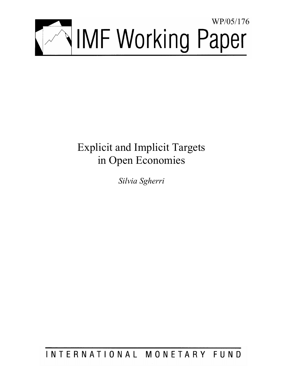

# Explicit and Implicit Targets in Open Economies

*Silvia Sgherri* 

INTERNATIONAL MONETARY FUND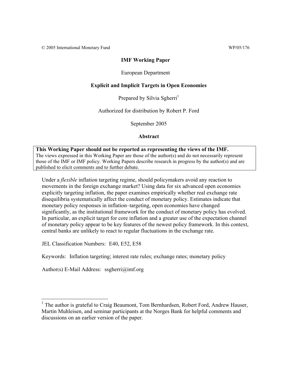© 2005 International Monetary Fund WP/05/176

# **IMF Working Paper**

# European Department

# **Explicit and Implicit Targets in Open Economies**

Prepared by Silvia Sgherri<sup>1</sup>

Authorized for distribution by Robert P. Ford

September 2005

### **Abstract**

**This Working Paper should not be reported as representing the views of the IMF.** The views expressed in this Working Paper are those of the author(s) and do not necessarily represent those of the IMF or IMF policy. Working Papers describe research in progress by the author(s) and are published to elicit comments and to further debate.

Under a *flexible* inflation targeting regime, should policymakers avoid any reaction to movements in the foreign exchange market? Using data for six advanced open economies explicitly targeting inflation, the paper examines empirically whether real exchange rate disequilibria systematically affect the conduct of monetary policy. Estimates indicate that monetary policy responses in inflation–targeting, open economies have changed significantly, as the institutional framework for the conduct of monetary policy has evolved. In particular, an explicit target for core inflation and a greater use of the expectation channel of monetary policy appear to be key features of the newest policy framework. In this context, central banks are unlikely to react to regular fluctuations in the exchange rate.

JEL Classification Numbers: E40, E52, E58

Keywords: Inflation targeting; interest rate rules; exchange rates; monetary policy

Author(s) E-Mail Address: ssgherri@imf.org

<sup>&</sup>lt;sup>1</sup> The author is grateful to Craig Beaumont, Tom Bernhardsen, Robert Ford, Andrew Hauser, Martin Muhleisen, and seminar participants at the Norges Bank for helpful comments and discussions on an earlier version of the paper.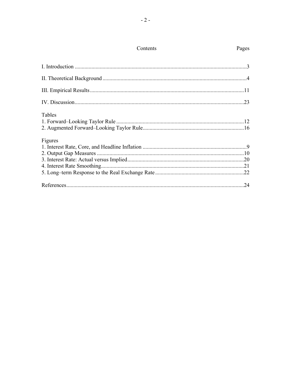| Tables  |  |
|---------|--|
| Figures |  |
|         |  |

# Contents

# Pages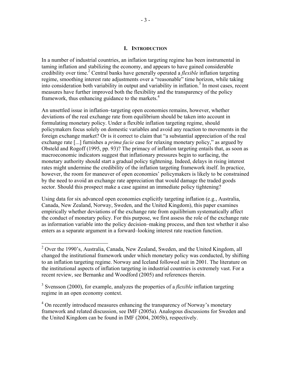### **I. INTRODUCTION**

In a number of industrial countries, an inflation targeting regime has been instrumental in taming inflation and stabilizing the economy, and appears to have gained considerable credibility over time.<sup>2</sup> Central banks have generally operated a *flexible* inflation targeting regime, smoothing interest rate adjustments over a "reasonable" time horizon, while taking into consideration both variability in output and variability in inflation.<sup>3</sup> In most cases, recent measures have further improved both the flexibility and the transparency of the policy framework, thus enhancing guidance to the markets.<sup>4</sup>

An unsettled issue in inflation–targeting open economies remains, however, whether deviations of the real exchange rate from equilibrium should be taken into account in formulating monetary policy. Under a flexible inflation targeting regime, should policymakers focus solely on domestic variables and avoid any reaction to movements in the foreign exchange market? Or is it correct to claim that "a substantial appreciation of the real exchange rate [...] furnishes a *prima facie* case for relaxing monetary policy," as argued by Obsteld and Rogoff (1995, pp. 93)? The primacy of inflation targeting entails that, as soon as macroeconomic indicators suggest that inflationary pressures begin to surfacing, the monetary authority should start a gradual policy tightening. Indeed, delays in rising interest rates might undermine the credibility of the inflation targeting framework itself. In practice, however, the room for maneuver of open economies' policymakers is likely to be constrained by the need to avoid an exchange rate appreciation that would damage the traded goods sector. Should this prospect make a case against an immediate policy tightening?

Using data for six advanced open economies explicitly targeting inflation (e.g., Australia, Canada, New Zealand, Norway, Sweden, and the United Kingdom), this paper examines empirically whether deviations of the exchange rate from equilibrium systematically affect the conduct of monetary policy. For this purpose, we first assess the role of the exchange rate as information variable into the policy decision–making process, and then test whether it also enters as a separate argument in a forward–looking interest rate reaction function.

 $\overline{a}$ 

 $2^2$  Over the 1990's, Australia, Canada, New Zealand, Sweden, and the United Kingdom, all changed the institutional framework under which monetary policy was conducted, by shifting to an inflation targeting regime. Norway and Iceland followed suit in 2001. The literature on the institutional aspects of inflation targeting in industrial countries is extremely vast. For a recent review, see Bernanke and Woodford (2005) and references therein.

<sup>&</sup>lt;sup>3</sup> Svensson (2000), for example, analyzes the properties of a *flexible* inflation targeting regime in an open economy context.

<sup>&</sup>lt;sup>4</sup> On recently introduced measures enhancing the transparency of Norway's monetary framework and related discussion, see IMF (2005a). Analogous discussions for Sweden and the United Kingdom can be found in IMF (2004, 2005b), respectively.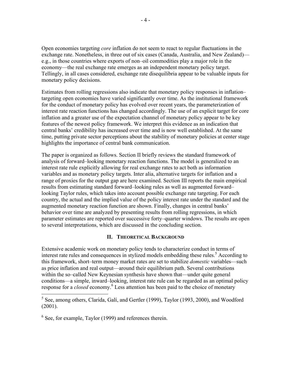Open economies targeting *core* inflation do not seem to react to regular fluctuations in the exchange rate. Nonetheless, in three out of six cases (Canada, Australia, and New Zealand) e.g., in those countries where exports of non–oil commodities play a major role in the economy—the real exchange rate emerges as an independent monetary policy target. Tellingly, in all cases considered, exchange rate disequilibria appear to be valuable inputs for monetary policy decisions.

Estimates from rolling regressions also indicate that monetary policy responses in inflation– targeting open economies have varied significantly over time. As the institutional framework for the conduct of monetary policy has evolved over recent years, the parameterization of interest rate reaction functions has changed accordingly. The use of an explicit target for core inflation and a greater use of the expectation channel of monetary policy appear to be key features of the newest policy framework. We interpret this evidence as an indication that central banks' credibility has increased over time and is now well established. At the same time, putting private sector perceptions about the stability of monetary policies at center stage highlights the importance of central bank communication.

The paper is organized as follows. Section II briefly reviews the standard framework of analysis of forward–looking monetary reaction functions. The model is generalized to an interest rate rule explicitly allowing for real exchange rates to act both as information variables and as monetary policy targets. Inter alia, alternative targets for inflation and a range of proxies for the output gap are here examined. Section III reports the main empirical results from estimating standard forward–looking rules as well as augmented forward– looking Taylor rules, which takes into account possible exchange rate targeting. For each country, the actual and the implied value of the policy interest rate under the standard and the augmented monetary reaction function are shown. Finally, changes in central banks' behavior over time are analyzed by presenting results from rolling regressions, in which parameter estimates are reported over successive forty–quarter windows. The results are open to several interpretations, which are discussed in the concluding section.

# **II. THEORETICAL BACKGROUND**

Extensive academic work on monetary policy tends to characterize conduct in terms of interest rate rules and consequences in stylized models embedding these rules.<sup>5</sup> According to this framework, short–term money market rates are set to stabilize *domestic* variables—such as price inflation and real output—around their equilibrium path. Several contributions within the so–called New Keynesian synthesis have shown that—under quite general conditions—a simple, inward–looking, interest rate rule can be regarded as an optimal policy response for a *closed* economy.<sup>6</sup> Less attention has been paid to the choice of monetary

 $\overline{a}$ 

<sup>&</sup>lt;sup>5</sup> See, among others, Clarida, Galí, and Gertler (1999), Taylor (1993, 2000), and Woodford (2001).

 $6$  See, for example, Taylor (1999) and references therein.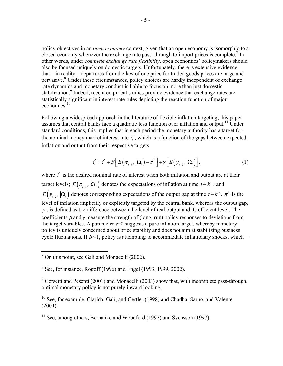policy objectives in an *open economy* context, given that an open economy is isomorphic to a closed economy whenever the exchange rate pass–through to import prices is complete.<sup>7</sup> In other words, under *complete exchange rate flexibility*, open economies' policymakers should also be focused uniquely on domestic targets. Unfortunately, there is extensive evidence that—in reality—departures from the law of one price for traded goods prices are large and pervasive.<sup>8</sup> Under these circumstances, policy choices are hardly independent of exchange rate dynamics and monetary conduct is liable to focus on more than just domestic stabilization.<sup>9</sup> Indeed, recent empirical studies provide evidence that exchange rates are statistically significant in interest rate rules depicting the reaction function of major economies $10$ 

Following a widespread approach in the literature of flexible inflation targeting, this paper assumes that central banks face a quadratic loss function over inflation and output.11 Under standard conditions, this implies that in each period the monetary authority has a target for the nominal money market interest rate  $i_t^*$ , which is a function of the gaps between expected inflation and output from their respective targets:

$$
i_t^* = i^* + \beta \Big[ E\Big(\pi_{t+k^\pi} \Big| \Omega_t\Big) - \pi^* \Big] + \gamma \Big[E\Big(\mathcal{Y}_{t+k^\gamma} \Big| \Omega_t\Big)\Big],\tag{1}
$$

where  $i^*$  is the desired nominal rate of interest when both inflation and output are at their target levels;  $E(\pi_{t+k\pi}|\Omega_t)$  denotes the expectations of inflation at time  $t+k\pi$ ; and  $E(y_{t+k^y} | \Omega_t)$  denotes corresponding expectations of the output gap at time  $t+k^y$ .  $\pi^*$  is the level of inflation implicitly or explicitly targeted by the central bank, whereas the output gap,  $y$ , is defined as the difference between the level of real output and its efficient level. The coefficients  $\beta$  and  $\gamma$  measure the strength of (long–run) policy responses to deviations from the target variables. A parameter *γ*=0 suggests a pure inflation target, whereby monetary policy is uniquely concerned about price stability and does not aim at stabilizing business cycle fluctuations. If  $\beta$  <1, policy is attempting to accommodate inflationary shocks, which—

<sup>11</sup> See, among others, Bernanke and Woodford (1997) and Svensson (1997).

<sup>&</sup>lt;sup>7</sup> On this point, see Galí and Monacelli (2002).

 $8$  See, for instance, Rogoff (1996) and Engel (1993, 1999, 2002).

<sup>&</sup>lt;sup>9</sup> Corsetti and Pesenti (2001) and Monacelli (2003) show that, with incomplete pass-through, optimal monetary policy is not purely inward looking.

<sup>10</sup> See, for example, Clarida, Galí, and Gertler (1998) and Chadha, Sarno, and Valente (2004).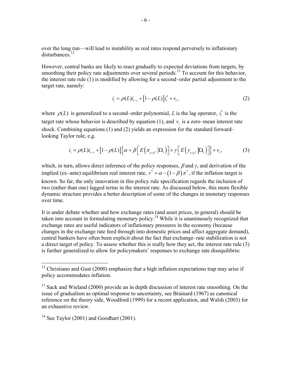over the long run—will lead to instability as real rates respond perversely to inflationary disturbances<sup>12</sup>

However, central banks are likely to react gradually to expected deviations from targets, by smoothing their policy rate adjustments over several periods.<sup>13</sup> To account for this behavior, the interest rate rule (1) is modified by allowing for a second–order partial adjustment to the target rate, namely:

$$
i_{t} = \rho(L)i_{t-s} + [1 - \rho(L)]i_{t}^{*} + v_{t}, \qquad (2)
$$

where  $\rho(L)$  is generalized to a second–order polynomial, L is the lag operator,  $i_t^*$  is the target rate whose behavior is described by equation  $(1)$ , and  $v<sub>i</sub>$  is a zero–mean interest rate shock. Combining equations (1) and (2) yields an expression for the standard forward– looking Taylor rule, e.g.

$$
i_{t} = \rho(L)i_{t-s} + [1 - \rho(L)] \Big\{ \alpha + \beta \Big[ E\Big(\pi_{t+k^{\pi}} | \Omega_{t} \Big) \Big] + \gamma \Big[ E\Big(y_{t+k^{\gamma}} | \Omega_{t} \Big) \Big] \Big\} + \nu_{t}, \tag{3}
$$

which, in turn, allows direct inference of the policy responses, β and *γ*, and derivation of the implied (ex–ante) equilibrium real interest rate,  $r^* = \alpha - (1 - \beta)\pi^*$ , if the inflation target is known. So far, the only innovation in this policy rule specification regards the inclusion of two (rather than one) lagged terms in the interest rate. As discussed below, this more flexible dynamic structure provides a better description of some of the changes in monetary responses over time.

It is under debate whether and how exchange rates (and asset prices, in general) should be taken into account in formulating monetary policy.<sup>14</sup> While it is unanimously recognized that exchange rates are useful indicators of inflationary pressures in the economy (because changes in the exchange rate feed through into domestic prices and affect aggregate demand), central bankers have often been explicit about the fact that exchange–rate stabilization is not a direct target of policy. To assess whether this is really how they act, the interest rate rule (3) is further generalized to allow for policymakers' responses to exchange rate disequilibria:

1

 $12$  Christiano and Gust (2000) emphasize that a high inflation expectations trap may arise if policy accommodates inflation.

<sup>&</sup>lt;sup>13</sup> Sack and Wieland (2000) provide an in depth discussion of interest rate smoothing. On the issue of gradualism as optimal response to uncertainty, see Brainard (1967) as canonical reference on the theory side, Woodford (1999) for a recent application, and Walsh (2003) for an exhaustive review.

<sup>&</sup>lt;sup>14</sup> See Taylor (2001) and Goodhart (2001).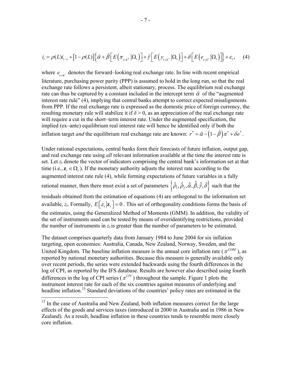$$
i_{t} = \rho(L)i_{t-s} + [1 - \rho(L)] \Big\{ \tilde{\alpha} + \tilde{\beta} \Big[ E\Big(\pi_{t+k^{\pi}} \Big| \Omega_{t} \Big) \Big] + \tilde{\gamma} \Big[ E\Big(y_{t+k^{\gamma}} \Big| \Omega_{t} \Big) \Big] + \delta \Big[ E\Big(e_{t+k^{\epsilon}} \Big| \Omega_{t} \Big) \Big] \Big\} + \varepsilon_{t}, \quad (4)
$$

where  $e_{t+k^e}$  denotes the forward–looking real exchange rate. In line with recent empirical literature, purchasing power parity (PPP) is assumed to hold in the long run, so that the real exchange rate follows a persistent, albeit stationary, process. The equilibrium real exchange rate can thus be captured by a constant included in the intercept term  $\tilde{\alpha}$  of the "augmented" interest rate rule" (4), implying that central banks attempt to correct expected misalignments from PPP. If the real exchange rate is expressed as the domestic price of foreign currency, the resulting monetary rule will stabilize it if  $\delta$  > 0, as an appreciation of the real exchange rate will require a cut in the short–term interest rate. Under the augmented specification, the implied (ex–ante) equilibrium real interest rate will hence be identified only if both the inflation target *and* the equilibrium real exchange rate are known:  $r^* = \tilde{\alpha} - (1 - \tilde{\beta})\pi^* + \delta e^*$ .

Under rational expectations, central banks form their forecasts of future inflation, output gap, and real exchange rate using *all* relevant information available at the time the interest rate is set. Let  $z_t$  denote the vector of indicators comprising the central bank's information set at that time (i.e.,  $z_t \in \Omega_t$ ). If the monetary authority adjusts the interest rate according to the augmented interest rate rule (4), while forming expectations of future variables in a fully rational manner, then there must exist a set of parameters  $\left\{\hat{\beta}_1, \hat{\beta}_2, \hat{\alpha}, \hat{\beta}, \hat{\gamma}, \hat{\delta}\right\}$  such that the residuals obtained from the estimation of equations (4) are orthogonal to the information set available,  $z_t$ . Formally,  $E\left[\varepsilon_t | \mathbf{z}_t\right] = 0$ . This set of orthogonality conditions forms the basis of the estimates, using the Generalized Method of Moments (GMM). In addition, the validity of

the set of instruments used can be tested by means of overidentifying restrictions, provided the number of instruments in  $z_t$  is greater than the number of parameters to be estimated.

The dataset comprises quarterly data from January 1984 to June 2004 for six inflation targeting, open economies: Australia, Canada, New Zealand, Norway, Sweden, and the United Kingdom. The baseline inflation measure is the annual core inflation rate ( $\pi^{CORE}$ ), as reported by national monetary authorities. Because this measure is generally available only over recent periods, the series were extended backwards using the fourth differences in the log of CPI, as reported by the IFS database. Results are however also described using fourth differences in the log of CPI series ( $\pi^{CPI}$ ) throughout the sample. Figure 1 plots the instrument interest rate for each of the six countries against measures of underlying and headline inflation.<sup>15</sup> Standard deviations of the countries' policy rates are estimated in the

 $\overline{a}$ 

 $15$  In the case of Australia and New Zealand, both inflation measures correct for the large effects of the goods and services taxes (introduced in 2000 in Australia and in 1986 in New Zealand). As a result, headline inflation in these countries tends to resemble more closely core inflation.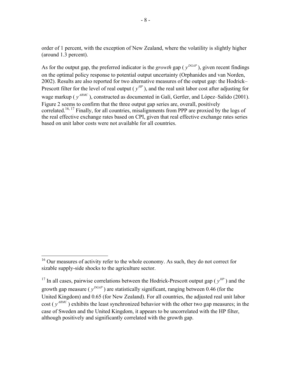order of 1 percent, with the exception of New Zealand, where the volatility is slightly higher (around 1.3 percent).

As for the output gap, the preferred indicator is the *growth* gap ( $y^{DGAP}$ ), given recent findings on the optimal policy response to potential output uncertainty (Orphanides and van Norden, 2002). Results are also reported for two alternative measures of the output gap: the Hodrick– Prescott filter for the level of real output  $(y<sup>HP</sup>)$ , and the real unit labor cost after adjusting for wage markup ( $y^{ARMC}$ ), constructed as documented in Galí, Gertler, and López–Salido (2001). Figure 2 seems to confirm that the three output gap series are, overall, positively correlated.<sup>16, 17</sup> Finally, for all countries, misalignments from PPP are proxied by the logs of the real effective exchange rates based on CPI, given that real effective exchange rates series based on unit labor costs were not available for all countries.

 $16$  Our measures of activity refer to the whole economy. As such, they do not correct for sizable supply-side shocks to the agriculture sector.

<sup>&</sup>lt;sup>17</sup> In all cases, pairwise correlations between the Hodrick-Prescott output gap ( $y^{HP}$ ) and the growth gap measure ( $y^{DGAP}$ ) are statistically significant, ranging between 0.46 (for the United Kingdom) and 0.65 (for New Zealand). For all countries, the adjusted real unit labor cost ( $v^{ARMC}$ ) exhibits the least synchronized behavior with the other two gap measures; in the case of Sweden and the United Kingdom, it appears to be uncorrelated with the HP filter, although positively and significantly correlated with the growth gap.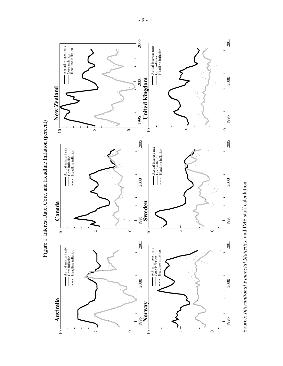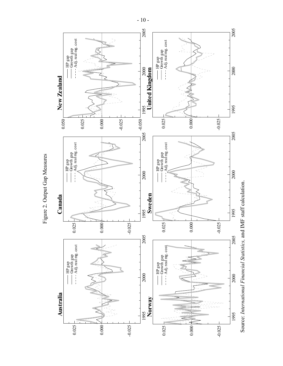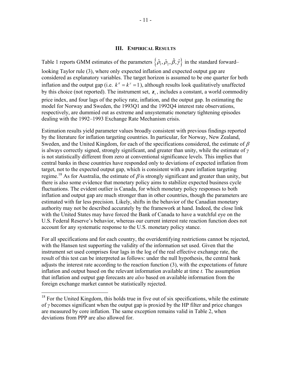### **III. EMPIRICAL RESULTS**

Table 1 reports GMM estimates of the parameters  $\{\hat{\rho}_1, \hat{\rho}_2, \hat{\beta}, \hat{\gamma}\}\$  in the standard forward–

looking Taylor rule (3), where only expected inflation and expected output gap are considered as explanatory variables. The target horizon is assumed to be one quarter for both inflation and the output gap (i.e.  $k^{\pi} = k^{\gamma} = 1$ ), although results look qualitatively unaffected by this choice (not reported). The instrument set, *<sup>t</sup>* **z** , includes a constant, a world commodity price index, and four lags of the policy rate, inflation, and the output gap. In estimating the model for Norway and Sweden, the 1993Q1 and the 1992Q4 interest rate observations, respectively, are dummied out as extreme and unsystematic monetary tightening episodes dealing with the 1992–1993 Exchange Rate Mechanism crisis.

Estimation results yield parameter values broadly consistent with previous findings reported by the literature for inflation targeting countries. In particular, for Norway, New Zealand, Sweden, and the United Kingdom, for each of the specifications considered, the estimate of  $\beta$ is always correctly signed, strongly significant, and greater than unity, while the estimate of *γ* is not statistically different from zero at conventional significance levels. This implies that central banks in these countries have responded only to deviations of expected inflation from target, not to the expected output gap, which is consistent with a pure inflation targeting regime.<sup>18</sup> As for Australia, the estimate of  $\beta$  is strongly significant and greater than unity, but there is also some evidence that monetary policy aims to stabilize expected business cycle fluctuations. The evident outlier is Canada, for which monetary policy responses to both inflation and output gap are much stronger than in other countries, though the parameters are estimated with far less precision. Likely, shifts in the behavior of the Canadian monetary authority may not be described accurately by the framework at hand. Indeed, the close link with the United States may have forced the Bank of Canada to have a watchful eye on the U.S. Federal Reserve's behavior, whereas our current interest rate reaction function does not account for any systematic response to the U.S. monetary policy stance.

For all specifications and for each country, the overidentifying restrictions cannot be rejected, with the Hansen test supporting the validity of the information set used. Given that the instrument set used comprises four lags in the log of the real effective exchange rate, the result of this test can be interpreted as follows: under the null hypothesis, the central bank adjusts the interest rate according to the reaction function (3), with the expectations of future inflation and output based on the relevant information available at time *t.* The assumption that inflation and output gap forecasts are *also* based on available information from the foreign exchange market cannot be statistically rejected.

1

 $18$  For the United Kingdom, this holds true in five out of six specifications, while the estimate of *γ* becomes significant when the output gap is proxied by the HP filter and price changes are measured by core inflation. The same exception remains valid in Table 2, when deviations from PPP are also allowed for.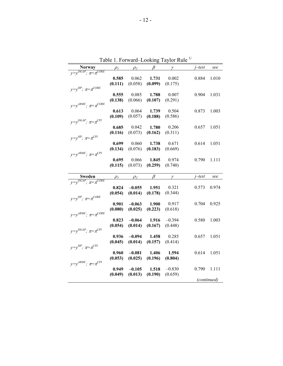| <b>Norway</b>                       | $\rho_I$ | $\rho_2$ | B       |          | j–test      | see   |
|-------------------------------------|----------|----------|---------|----------|-------------|-------|
| $v = v^{DGAP}$ : $\pi = \pi^{CORE}$ |          |          |         |          |             |       |
|                                     | 0.585    | 0.062    | 1.731   | 0.002    | 0.884       | 1.010 |
|                                     | (0.111)  | (0.058)  | (0.099) | (0.175)  |             |       |
|                                     |          |          |         |          |             |       |
| $v = v^{HP}$ ; $\pi = \pi^{CORE}$   |          |          |         |          |             |       |
|                                     | 0.555    | 0.085    | 1.788   | 0.007    | 0.904       | 1.031 |
|                                     | (0.138)  | (0.066)  | (0.107) | (0.291)  |             |       |
| $v = v^{ARMC}$ ; $\pi = \pi^{CORE}$ |          |          |         |          |             |       |
|                                     | 0.613    | 0.064    | 1.739   | 0.504    | 0.873       | 1.003 |
|                                     | (0.109)  | (0.057)  | (0.188) | (0.586)  |             |       |
| $v = v^{DGAP}$ ; $\pi = \pi^{CPI}$  |          |          |         |          |             |       |
|                                     |          |          |         |          |             |       |
|                                     | 0.685    | 0.042    | 1.780   | 0.206    | 0.657       | 1.051 |
|                                     | (0.116)  | (0.073)  | (0.162) | (0.311)  |             |       |
| $y=y^{HP}$ ; $\pi=\pi^{CPI}$        |          |          |         |          |             |       |
|                                     | 0.699    | 0.060    | 1.738   | 0.671    | 0.614       | 1.051 |
|                                     | (0.134)  | (0.076)  | (0.183) | (0.669)  |             |       |
| $v = v^{ARMC}$ ; $\pi = \pi^{CPI}$  |          |          |         |          |             |       |
|                                     | 0.695    | 0.066    | 1.845   | 0.974    | 0.790       | 1.111 |
|                                     |          |          |         |          |             |       |
|                                     | (0.115)  | (0.073)  | (0.259) | (0.740)  |             |       |
|                                     |          |          |         |          |             |       |
|                                     |          |          |         |          |             |       |
| <b>Sweden</b>                       | $\rho_I$ | $\rho_2$ | ß       | γ        | j–test      | see   |
| $v = v^{DGAP}$ ; $\pi = \pi^{CORE}$ |          |          |         |          |             |       |
|                                     |          |          |         |          |             |       |
|                                     | 0.824    | $-0.055$ | 1.951   | 0.321    | 0.573       | 0.974 |
|                                     | (0.054)  | (0.014)  | (0.178) | (0.344)  |             |       |
| $v = v^{HP}$ ; $\pi = \pi^{CORE}$   |          |          |         |          |             |       |
|                                     | 0.901    | $-0.063$ | 1.900   | 0.917    | 0.704       | 0.925 |
|                                     | (0.080)  | (0.025)  | (0.223) | (0.618)  |             |       |
| $v = v^{ARMC}$ : $\pi = \pi^{CORE}$ |          |          |         |          |             |       |
|                                     | 0.823    | $-0.064$ | 1.916   | $-0.394$ | 0.580       | 1.003 |
|                                     |          |          |         |          |             |       |
|                                     | (0.054)  | (0.014)  | (0.167) | (0.448)  |             |       |
| $y=y^{DGAP}$ : $\pi=\pi^{CPI}$      |          |          |         |          |             |       |
|                                     | 0.936    | $-0.094$ | 1.458   | 0.285    | 0.657       | 1.051 |
|                                     | (0.045)  | (0.014)  | (0.157) | (0.414)  |             |       |
| $y=y^{HP}$ ; $\pi=\pi^{CPI}$        |          |          |         |          |             |       |
|                                     | 0.960    | $-0.081$ | 1.406   | 1.594    | 0.614       | 1.051 |
|                                     | (0.053)  | (0.025)  | (0.196) | (0.804)  |             |       |
| $v = v^{ARMC}$ ; $\pi = \pi^{CPI}$  |          |          |         |          |             |       |
|                                     |          |          |         |          |             |       |
|                                     | 0.949    | $-0.105$ | 1.518   | $-0.830$ | 0.790       | 1.111 |
|                                     | (0.049)  | (0.013)  | (0.190) | (0.659)  | (continued) |       |

Table 1. Forward–Looking Taylor Rule 1/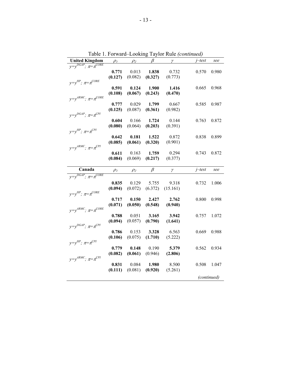| <b>United Kingdom</b>               | $\rho_I$ | $\rho_2$ | β       | γ        | j–test      | see   |
|-------------------------------------|----------|----------|---------|----------|-------------|-------|
| $v = v^{DGAP}$ : $\pi = \pi^{CORE}$ |          |          |         |          |             |       |
|                                     | 0.771    | 0.013    | 1.838   | 0.732    | 0.570       | 0.980 |
|                                     | (0.127)  | (0.082)  | (0.327) | (0.773)  |             |       |
| $y=y^{HP}$ ; $\pi=\pi^{CORE}$       |          |          |         |          |             |       |
|                                     | 0.591    | 0.124    | 1.900   | 1.416    | 0.665       | 0.968 |
|                                     | (0.108)  | (0.067)  | (0.243) | (0.470)  |             |       |
| $v = v^{ARMC}$ : $\pi = \pi^{CORE}$ |          |          |         |          |             |       |
|                                     | 0.777    | 0.029    | 1.799   | 0.667    | 0.585       | 0.987 |
|                                     | (0.125)  | (0.087)  | (0.361) | (0.982)  |             |       |
| $v = v^{DGAP}$ : $\pi = \pi^{CPI}$  |          |          |         |          |             |       |
|                                     | 0.604    | 0.166    | 1.724   | 0.144    | 0.763       | 0.872 |
|                                     | (0.080)  | (0.064)  | (0.203) | (0.391)  |             |       |
| $y=y^{HP}$ ; $\pi=\pi^{CPI}$        |          |          |         |          |             |       |
|                                     | 0.642    | 0.181    | 1.522   | 0.872    | 0.838       | 0.899 |
| $v = v^{ARMC}$ : $\pi = \pi^{CPI}$  | (0.085)  | (0.061)  | (0.320) | (0.901)  |             |       |
|                                     |          |          |         |          |             |       |
|                                     | 0.611    | 0.163    | 1.759   | 0.294    | 0.743       | 0.872 |
|                                     | (0.084)  | (0.069)  | (0.217) | (0.377)  |             |       |
| Canada                              |          |          | $\beta$ |          | $j$ –test   | see   |
| $v = v^{DGAP}$ ; $\pi = \pi^{CORE}$ | $\rho_I$ | $\rho_2$ |         | γ        |             |       |
|                                     |          |          |         |          |             |       |
|                                     | 0.835    | 0.129    | 5.755   | 9.318    | 0.732       | 1.006 |
|                                     | (0.094)  | (0.072)  | (6.372) | (15.161) |             |       |
| $v = v^{HP}$ : $\pi = \pi^{CORE}$   |          |          |         |          |             |       |
|                                     | 0.717    | 0.150    | 2.427   | 2.762    | 0.800       | 0.998 |
| $v = v^{ARMC}$ : $\pi = \pi^{CORE}$ | (0.071)  | (0.050)  | (0.548) | (0.940)  |             |       |
|                                     |          |          |         |          |             |       |
|                                     | 0.788    | 0.051    | 3.165   | 3.942    | 0.757       | 1.072 |
| $v = v^{DGAP}$ : $\pi = \pi^{CPI}$  | (0.094)  | (0.057)  | (0.790) | (1.641)  |             |       |
|                                     | 0.786    | 0.153    | 3.328   | 6.563    | 0.669       | 0.988 |
|                                     | (0.106)  | (0.075)  | (1.710) | (5.222)  |             |       |
| $y=y^{HP}$ ; $\pi=\pi^{CPI}$        |          |          |         |          |             |       |
|                                     | 0.779    | 0.148    | 0.190   | 5.379    | 0.562       | 0.934 |
|                                     | (0.082)  | (0.061)  | (0.946) | (2.806)  |             |       |
| $v = v^{ARMC}$ ; $\pi = \pi^{CPI}$  |          |          |         |          |             |       |
|                                     | 0.831    | 0.084    | 1.980   | 8.500    | 0.508       | 1.047 |
|                                     | (0.111)  | (0.081)  | (0.920) | (5.261)  |             |       |
|                                     |          |          |         |          |             |       |
|                                     |          |          |         |          | (continued) |       |

Table 1. Forward–Looking Taylor Rule *(continued)*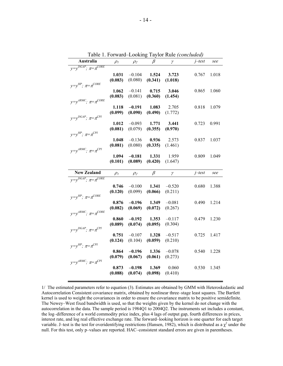| Table 1. Forward-Looking Taylor Rule ( <i>conculated</i> ) |                  |                     |                  |                  |           |       |
|------------------------------------------------------------|------------------|---------------------|------------------|------------------|-----------|-------|
| Australia                                                  | $\rho_I$         | $\rho_2$            | β                | γ                | $j$ -test | see   |
| $v = v^{DGAP}$ ; $\pi = \pi^{CORE}$                        |                  |                     |                  |                  |           |       |
|                                                            | 1.031            | $-0.104$            | 1.524            | 3.723            | 0.767     | 1.018 |
|                                                            | (0.083)          | (0.080)             | (0.341)          | (1.018)          |           |       |
| $y=y^{HP}$ ; $\pi=\pi^{CORE}$                              |                  |                     |                  |                  |           |       |
|                                                            | 1.062            | $-0.141$            | 0.715            | 3.046            | 0.865     | 1.060 |
|                                                            | (0.083)          | (0.081)             | (0.360)          | (1.454)          |           |       |
| $y=y^{ARMC}$ ; $\pi=\pi^{CORE}$                            |                  |                     |                  |                  |           |       |
|                                                            | 1.118            | $-0.191$            | 1.083            | 2.705            | 0.818     | 1.079 |
|                                                            | (0.099)          | (0.090)             | (0.490)          | (1.772)          |           |       |
| $v = v^{DGAP}$ ; $\pi = \pi^{CPI}$                         |                  |                     |                  |                  |           |       |
|                                                            | 1.012            | $-0.093$            | 1.771            | 3.441            | 0.723     | 0.991 |
|                                                            | (0.081)          | (0.079)             | (0.355)          | (0.970)          |           |       |
| $y=y^{HP}$ ; $\pi=\pi^{CPI}$                               |                  |                     |                  |                  |           |       |
|                                                            | 1.048            | $-0.136$            | 0.936            | 2.573            | 0.837     | 1.037 |
|                                                            | (0.081)          | (0.080)             | (0.335)          | (1.461)          |           |       |
| $v = v^{ARMC}$ ; $\pi = \pi^{CPI}$                         |                  |                     |                  |                  |           |       |
|                                                            | 1.094            | $-0.181$            | 1.331            | 1.959            | 0.809     | 1.049 |
|                                                            | (0.101)          | (0.089)             | (0.420)          | (1.647)          |           |       |
|                                                            |                  |                     |                  |                  |           |       |
|                                                            |                  |                     |                  |                  |           |       |
| <b>New Zealand</b>                                         | $\rho_I$         | $\rho_2$            | $\beta$          |                  | $j$ -test | see   |
|                                                            |                  |                     |                  | $\gamma$         |           |       |
| $v = v^{DGAP}$ : $\pi = \pi^{CORE}$                        |                  |                     |                  |                  |           |       |
|                                                            | 0.746            | $-0.100$            | 1.341            | $-0.520$         | 0.680     | 1.388 |
|                                                            | (0.120)          | (0.099)             | (0.066)          | (0.211)          |           |       |
| $y=y^{HP}$ ; $\pi=\pi^{CORE}$                              |                  |                     |                  |                  |           |       |
|                                                            | 0.876            | $-0.196$            | 1.349            | $-0.081$         | 0.490     | 1.214 |
|                                                            | (0.082)          | (0.069)             | (0.072)          | (0.267)          |           |       |
| $y=y^{ARMC}$ ; $\pi=\pi^{CORE}$                            |                  |                     |                  |                  |           |       |
|                                                            | 0.860            | $-0.192$            | 1.353            | $-0.117$         | 0.479     | 1.230 |
|                                                            | (0.089)          | (0.074)             | (0.095)          | (0.304)          |           |       |
| $y=y^{DGAP}$ : $\pi=\pi^{CPI}$                             |                  |                     |                  |                  |           |       |
|                                                            | 0.751            | $-0.107$            | 1.328            | $-0.517$         | 0.725     | 1.417 |
|                                                            | (0.124)          | (0.104)             | (0.059)          | (0.210)          |           |       |
| $y=y^{HP}$ ; $\pi=\pi^{CPI}$                               |                  |                     |                  |                  |           |       |
|                                                            | 0.864            | $-0.196$            | 1.336            | $-0.078$         | 0.540     | 1.228 |
|                                                            | (0.079)          | (0.067)             | (0.061)          | (0.273)          |           |       |
| $v = v^{ARMC}$ ; $\pi = \pi^{CPI}$                         |                  |                     |                  |                  |           |       |
|                                                            | 0.873<br>(0.088) | $-0.198$<br>(0.074) | 1.369<br>(0.098) | 0.060<br>(0.410) | 0.530     | 1.345 |

Table 1. Forward–Looking Taylor Rule *(concluded)*

1/ The estimated parameters refer to equation (3). Estimates are obtained by GMM with Heteroskedastic and Autocorrelation Consistent covariance matrix, obtained by nonlinear three–stage least squares. The Bartlett kernel is used to weight the covariances in order to ensure the covariance matrix to be positive semidefinite. The Newey–West fixed bandwidth is used, so that the weights given by the kernel do not change with the autocorrelation in the data. The sample period is 1984Q1 to 2004Q2. The instruments set includes a constant, the log–difference of a world commodity price index, plus 4 lags of output gap, fourth differences in prices, interest rate, and log real effective exchange rate. The forward–looking horizon is one quarter for each target variable. J–test is the test for overidentifying restrictions (Hansen, 1982), which is distributed as a  $\chi^2$  under the null. For this test, only p–values are reported. HAC–consistent standard errors are given in parentheses.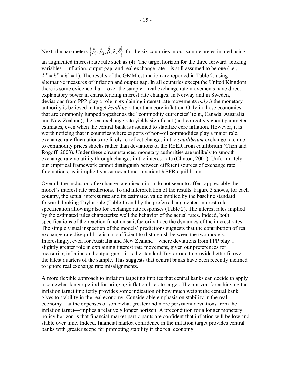Next, the parameters  $\left\{\hat{\beta}_1, \hat{\beta}_2, \hat{\beta}, \hat{\gamma}, \hat{\delta}\right\}$  for the six countries in our sample are estimated using an augmented interest rate rule such as (4). The target horizon for the three forward–looking variables—inflation, output gap, and real exchange rate—is still assumed to be one (i.e.,  $k^{\pi} = k^{\gamma} = k^e = 1$ ). The results of the GMM estimation are reported in Table 2, using alternative measures of inflation and output gap. In all countries except the United Kingdom, there is some evidence that—over the sample—real exchange rate movements have direct explanatory power in characterizing interest rate changes. In Norway and in Sweden, deviations from PPP play a role in explaining interest rate movements *only if* the monetary authority is believed to target *headline* rather than core inflation. Only in those economies that are commonly lumped together as the "commodity currencies" (e.g., Canada, Australia, and New Zealand), the real exchange rate yields significant (and correctly signed) parameter estimates, even when the central bank is assumed to stabilize core inflation. However, it is worth noticing that in countries where exports of non–oil commodities play a major role, exchange rate fluctuations are likely to reflect changes in the *equilibrium* exchange rate due to commodity prices shocks rather than deviations of the REER from equilibrium (Chen and Rogoff, 2003). Under these circumstances, monetary authorities are unlikely to smooth exchange rate volatility through changes in the interest rate (Clinton, 2001). Unfortunately, our empirical framework cannot distinguish between different sources of exchange rate fluctuations, as it implicitly assumes a time–invariant REER equilibrium.

Overall, the inclusion of exchange rate disequlibria do not seem to affect appreciably the model's interest rate predictions. To aid interpretation of the results, Figure 3 shows, for each country, the actual interest rate and its estimated value implied by the baseline standard forward–looking Taylor rule (Table 1) and by the preferred augmented interest rule specification allowing also for exchange rate responses (Table 2). The interest rates implied by the estimated rules characterize well the behavior of the actual rates. Indeed, both specifications of the reaction function satisfactorily trace the dynamics of the interest rates. The simple visual inspection of the models' predictions suggests that the contribution of real exchange rate disequilibria is not sufficient to distinguish between the two models. Interestingly, even for Australia and New Zealand—where deviations from PPP play a slightly greater role in explaining interest rate movement, given our preferences for measuring inflation and output gap—it is the standard Taylor rule to provide better fit over the latest quarters of the sample. This suggests that central banks have been recently inclined to ignore real exchange rate misalignments.

A more flexible approach to inflation targeting implies that central banks can decide to apply a somewhat longer period for bringing inflation back to target. The horizon for achieving the inflation target implicitly provides some indication of how much weight the central bank gives to stability in the real economy. Considerable emphasis on stability in the real economy—at the expenses of somewhat greater and more persistent deviations from the inflation target—implies a relatively longer horizon. A precondition for a longer monetary policy horizon is that financial market participants are confident that inflation will be low and stable over time. Indeed, financial market confidence in the inflation target provides central banks with greater scope for promoting stability in the real economy.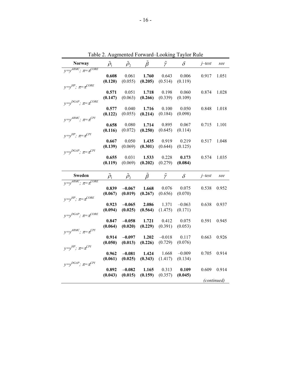| <b>Norway</b>                                                      | $\tilde{\rho}_1$                         | $\tilde{\rho}_2$ | $\tilde{\beta}$ | $\tilde{\gamma}$ | $\delta$ | $j$ -test | see         |
|--------------------------------------------------------------------|------------------------------------------|------------------|-----------------|------------------|----------|-----------|-------------|
| $v = v^{ARMC}$ ; $\pi = \pi^{CORE}$                                |                                          |                  |                 |                  |          |           |             |
|                                                                    | 0.608                                    | 0.061            | 1.760           | 0.643            | 0.006    | 0.917     | 1.051       |
|                                                                    | (0.120)                                  | (0.055)          | (0.205)         | (0.514)          | (0.119)  |           |             |
| $y=y^{HP}$ ; $\pi=\pi^{CORE}$                                      |                                          |                  |                 |                  |          |           |             |
|                                                                    | 0.571                                    | 0.051            | 1.718           | 0.198            | 0.060    | 0.874     | 1.028       |
|                                                                    | (0.147)                                  | (0.063)          | (0.266)         | (0.339)          | (0.109)  |           |             |
| $v = v^{DGAP}$ : $\pi = \pi^{CORE}$                                |                                          |                  |                 |                  |          |           |             |
|                                                                    | 0.577                                    | 0.040            | 1.716           | 0.100            | 0.050    | 0.848     | 1.018       |
|                                                                    | (0.122)                                  | (0.055)          | (0.214)         | (0.184)          | (0.098)  |           |             |
| $v = v^{ARMC}$ ; $\pi = \pi^{CPI}$                                 |                                          |                  |                 |                  |          |           |             |
|                                                                    | 0.658                                    | 0.080            | 1.714           | 0.895            | 0.067    | 0.715     | 1.101       |
|                                                                    | (0.116)                                  | (0.072)          | (0.250)         | (0.645)          | (0.114)  |           |             |
| $y=y^{HP}$ ; $\pi=\pi^{CPI}$                                       |                                          |                  |                 |                  |          |           |             |
|                                                                    | 0.667                                    | 0.050            | 1.435           | 0.919            | 0.219    | 0.517     | 1.048       |
|                                                                    | (0.139)                                  | (0.069)          | (0.301)         | (0.644)          | (0.125)  |           |             |
| $v = v^{DGAP}$ : $\pi = \pi^{CPI}$                                 |                                          |                  |                 |                  |          |           |             |
|                                                                    | 0.655                                    | 0.031            | 1.533           | 0.228            | 0.173    | 0.574     | 1.035       |
|                                                                    | (0.119)                                  | (0.069)          | (0.202)         | (0.279)          | (0.084)  |           |             |
|                                                                    |                                          |                  |                 |                  |          |           |             |
| <b>Sweden</b>                                                      | $\tilde{\rho}_{\scriptscriptstyle\rm I}$ | $\tilde{\rho}_2$ | $\tilde{\beta}$ | $\tilde{\gamma}$ | $\delta$ | $j$ -test | see         |
| $v = v^{ARMC}$ : $\pi = \pi^{CORE}$                                |                                          |                  |                 |                  |          |           |             |
|                                                                    | 0.839                                    | $-0.067$         | 1.668           | 0.076            | 0.075    | 0.538     | 0.952       |
|                                                                    | (0.067)                                  | (0.019)          | (0.267)         | (0.656)          | (0.070)  |           |             |
|                                                                    |                                          |                  |                 |                  |          |           |             |
| $y=y^{HP}$ ; $\pi=\pi^{CORE}$                                      | 0.923                                    | $-0.065$         | 2.086           | 1.371            | $-0.063$ | 0.638     | 0.937       |
|                                                                    | (0.094)                                  | (0.025)          | (0.564)         | (1.475)          | (0.171)  |           |             |
| $v = v^{DGAP}$ : $\pi = \pi^{CORE}$                                |                                          |                  |                 |                  |          |           |             |
|                                                                    | 0.847                                    | $-0.058$         | 1.721           | 0.412            | 0.075    | 0.591     | 0.945       |
|                                                                    | (0.064)                                  | (0.020)          | (0.229)         | (0.391)          | (0.053)  |           |             |
| $v = v^{ARMC}$ : $\pi = \pi^{CPI}$                                 |                                          |                  |                 |                  |          |           |             |
|                                                                    | 0.914                                    | $-0.097$         | 1.202           | $-0.018$         | 0.117    | 0.663     | 0.926       |
|                                                                    | (0.050)                                  | (0.013)          | (0.226)         | (0.729)          | (0.076)  |           |             |
|                                                                    |                                          |                  |                 |                  |          |           |             |
|                                                                    | 0.962                                    | $-0.081$         | 1.424           | 1.668            | $-0.009$ | 0.705     | 0.914       |
|                                                                    | (0.061)                                  | (0.025)          | (0.343)         | (1.417)          | (0.134)  |           |             |
| $y=y^{HP}$ ; $\pi=\pi^{CPI}$<br>$v = v^{DGAP}$ : $\pi = \pi^{CPI}$ |                                          |                  |                 |                  |          |           |             |
|                                                                    | 0.892                                    | $-0.082$         | 1.165           | 0.313            | 0.109    | 0.609     | 0.914       |
|                                                                    | (0.043)                                  | (0.015)          | (0.159)         | (0.357)          | (0.045)  |           | (continued) |

Table 2. Augmented Forward–Looking Taylor Rule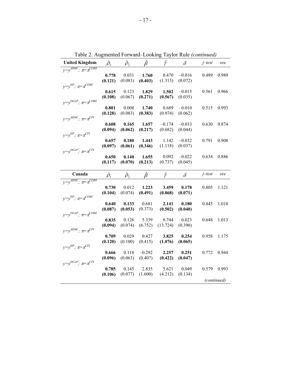| Table 2. Augmented Forward–Looking Taylor Rule <i>(continuea)</i><br><b>United Kingdom</b>                  | $\tilde{\rho}_{\scriptscriptstyle 1}$    | $\tilde{\rho}_{2}$ | $\tilde{\beta}$ | $\tilde{\gamma}$ | $\delta$ | $j$ -test | see         |
|-------------------------------------------------------------------------------------------------------------|------------------------------------------|--------------------|-----------------|------------------|----------|-----------|-------------|
| $v = v^{ARMC}$ ; $\pi = \pi^{CORE}$                                                                         |                                          |                    |                 |                  |          |           |             |
|                                                                                                             | 0.778                                    | 0.031              | 1.760           | 0.470            | $-0.016$ | 0.489     | 0.989       |
|                                                                                                             | (0.121)                                  | (0.083)            | (0.403)         | (1.315)          | (0.072)  |           |             |
| $y=y^{HP}$ ; $\pi=\pi^{CORE}$                                                                               |                                          |                    |                 |                  |          |           |             |
|                                                                                                             | 0.615                                    | 0.123              | 1.829           | 1.502            | $-0.015$ | 0.561     | 0.966       |
|                                                                                                             | (0.108)                                  | (0.067)            | (0.271)         | (0.567)          | (0.035)  |           |             |
| $v = v^{DGAP}$ ; $\pi = \pi^{CORE}$                                                                         |                                          |                    |                 |                  |          |           |             |
|                                                                                                             | 0.801                                    | 0.008              | 1.740           | 0.689            | $-0.010$ | 0.515     | 0.993       |
|                                                                                                             | (0.128)                                  | (0.083)            | (0.383)         | (0.974)          | (0.062)  |           |             |
| $v = v^{ARMC}$ : $\pi = \pi^{CPI}$                                                                          |                                          |                    |                 |                  |          |           |             |
|                                                                                                             | 0.608                                    | 0.165              | 1.657           | $-0.174$         | $-0.033$ | 0.630     | 0.874       |
|                                                                                                             | (0.094)                                  | (0.062)            | (0.217)         | (0.682)          | (0.044)  |           |             |
| $y=y^{HP}$ ; $\pi=\pi^{CPI}$                                                                                |                                          |                    |                 |                  |          |           |             |
|                                                                                                             | 0.657                                    | 0.180              | 1.443           | 1.142            | $-0.032$ | 0.791     | 0.908       |
|                                                                                                             | (0.097)                                  | (0.061)            | (0.346)         | (1.118)          | (0.037)  |           |             |
| $v = v^{DGAP}$ ; $\pi = \pi^{CPI}$                                                                          |                                          |                    |                 |                  |          |           |             |
|                                                                                                             | 0.650                                    | 0.140              | 1.655           | 0.092            | $-0.022$ | 0.634     | 0.886       |
|                                                                                                             | (0.117)                                  | (0.070)            | (0.213)         | (0.737)          | (0.045)  |           |             |
|                                                                                                             |                                          |                    |                 |                  |          |           |             |
| Canada                                                                                                      | $\tilde{\rho}_{\scriptscriptstyle\rm I}$ | $\tilde{\rho}_{2}$ | $\tilde{\beta}$ | $\tilde{\gamma}$ | $\delta$ | $j$ -test | see         |
|                                                                                                             |                                          |                    |                 |                  |          |           |             |
|                                                                                                             | 0.730                                    | 0.012              | 1.223           | 3.459            | 0.178    | 0.805     | 1.121       |
|                                                                                                             | (0.104)                                  | (0.074)            | (0.491)         | (0.868)          | (0.071)  |           |             |
|                                                                                                             |                                          |                    |                 |                  |          |           |             |
|                                                                                                             | 0.640                                    | 0.133              | 0.681           | 2.141            | 0.180    | 0.845     | 1.018       |
|                                                                                                             | (0.087)                                  | (0.053)            | (0.373)         | (0.502)          | (0.040)  |           |             |
|                                                                                                             |                                          |                    |                 |                  |          |           |             |
|                                                                                                             | 0.835                                    | 0.126              | 5.339           | 8.744            | 0.023    | 0.648     | 1.013       |
| $v = v^{ARMC}$ ; $\pi = \pi^{CORE}$<br>$v = v^{HP}$ ; $\pi = \pi^{CORE}$<br>$y=y^{DGAP}$ ; $\pi=\pi^{CORE}$ | (0.094)                                  | (0.074)            | (6.752)         | (13.724)         | (0.390)  |           |             |
| $v = v^{ARMC}$ : $\pi = \pi^{CPI}$                                                                          |                                          |                    |                 |                  |          |           |             |
|                                                                                                             | 0.709                                    | 0.029              | 0.427           | 3.825            | 0.254    | 0.958     | 1.175       |
|                                                                                                             | (0.120)                                  | (0.100)            | (0.415)         | (1.076)          | (0.065)  |           |             |
|                                                                                                             |                                          |                    |                 |                  |          |           |             |
| $y=y^{HP}$ ; $\pi=\pi^{CPI}$                                                                                | 0.666                                    | 0.118              | $-0.292$        | 2.257            | 0.251    | 0.772     | 0.944       |
|                                                                                                             | (0.096)                                  | (0.063)            | (0.407)         | (0.422)          | (0.047)  |           |             |
| $v = v^{DGAP}$ ; $\pi = \pi^{CPI}$                                                                          |                                          |                    |                 |                  |          |           |             |
|                                                                                                             | 0.785                                    | 0.145              | 2.835           | 5.621            | 0.049    | 0.579     | 0.993       |
|                                                                                                             | (0.106)                                  | (0.077)            | (1.600)         | (4.212)          | (0.134)  |           | (continued) |

Table 2. Augmented Forward–Looking Taylor Rule *(continued)*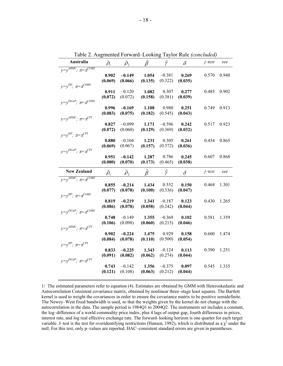| Australia                           | $\tilde{\rho}_1$                 | $\tilde{\rho}_{\scriptscriptstyle 2}$ | $\tilde{\beta}$  | $\tilde{\gamma}$    | $\delta$         | $j$ –test | see   |
|-------------------------------------|----------------------------------|---------------------------------------|------------------|---------------------|------------------|-----------|-------|
| $v = v^{ARMC}$ ; $\pi = \pi^{CORE}$ |                                  |                                       |                  |                     |                  |           |       |
|                                     | 0.902                            | $-0.149$                              | 1.054            | $-0.381$            | 0.269            | 0.570     | 0.948 |
|                                     | (0.069)                          | (0.066)                               | (0.135)          | (0.322)             | (0.035)          |           |       |
| $y=y^{HP}$ ; $\pi=\pi^{CORE}$       |                                  |                                       |                  |                     |                  |           |       |
|                                     | 0.911                            | $-0.120$                              | 1.082            | 0.307               | 0.277            | 0.485     | 0.902 |
|                                     | (0.072)                          | (0.072)                               | (0.158)          | (0.381)             | (0.039)          |           |       |
| $y=y^{DGAP}$ ; $\pi=\pi^{CORE}$     |                                  |                                       |                  |                     |                  |           |       |
|                                     | 0.996                            | $-0.169$                              | 1.108            | 0.980               | 0.251            | 0.749     | 0.913 |
|                                     | (0.083)                          | (0.075)                               | (0.182)          | (0.545)             | (0.043)          |           |       |
| $v = v^{ARMC}$ ; $\pi = \pi^{CPI}$  |                                  |                                       |                  |                     |                  |           |       |
|                                     | 0.827                            | $-0.099$                              | 1.171            | $-0.596$            | 0.242            | 0.517     | 0.923 |
|                                     | (0.072)                          | (0.060)                               | (0.129)          | (0.369)             | (0.032)          |           |       |
| $y=y^{HP}$ ; $\pi=\pi^{CPI}$        |                                  |                                       |                  |                     |                  |           |       |
|                                     | 0.880                            | $-0.104$                              | 1.231            | 0.305               | 0.261            | 0.454     | 0.865 |
|                                     | (0.069)                          | (0.067)                               | (0.157)          | (0.372)             | (0.036)          |           |       |
| $v = v^{DGAP}$ ; $\pi = \pi^{CPI}$  |                                  |                                       |                  |                     |                  |           |       |
|                                     | 0.951                            | $-0.142$                              | 1.287            | 0.786               | 0.245            | 0.607     | 0.868 |
|                                     | (0.080)                          | (0.070)                               | (0.173)          | (0.465)             | (0.038)          |           |       |
|                                     |                                  |                                       |                  |                     |                  |           |       |
| <b>New Zealand</b>                  | $\tilde{\rho}_{\text{\tiny{l}}}$ | $\tilde{\rho}_{_2}$                   | $\tilde{\beta}$  | $\tilde{\gamma}$    | $\delta$         | $j$ –test | see   |
| $v = v^{ARMC}$ ; $\pi = \pi^{CORE}$ |                                  |                                       |                  |                     |                  |           |       |
|                                     | 0.855                            | $-0.214$                              | 1.434            | 0.552               | 0.150            | 0.468     | 1.301 |
|                                     | (0.077)                          | (0.078)                               | (0.100)          | (0.336)             | (0.047)          |           |       |
| $y=y^{HP}$ ; $\pi=\pi^{CORE}$       |                                  |                                       |                  |                     |                  |           |       |
|                                     | 0.819                            | $-0.219$                              | 1.341            | $-0.187$            | 0.123            | 0.430     | 1.265 |
|                                     | (0.086)                          | (0.078)                               | (0.058)          | (0.242)             | (0.044)          |           |       |
| $v = v^{DGAP}$ ; $\pi = \pi^{CORE}$ |                                  |                                       |                  |                     |                  |           |       |
|                                     | 0.748                            | $-0.149$                              | 1.355            | $-0.369$            | 0.102            | 0.581     | 1.359 |
|                                     | (0.106)                          | (0.098)                               | (0.060)          | (0.215)             | (0.046)          |           |       |
| $v = v^{ARMC}$ ; $\pi = \pi^{CPI}$  |                                  |                                       |                  |                     |                  |           |       |
|                                     | 0.902                            | $-0.224$                              | 1.475            | 0.929               | 0.158            | 0.600     | 1.474 |
|                                     | (0.084)                          | (0.078)                               | (0.110)          | (0.500)             | (0.054)          |           |       |
| $y=y^{HP}$ ; $\pi=\pi^{CPI}$        |                                  |                                       |                  |                     |                  |           |       |
|                                     | 0.833                            | $-0.225$                              | 1.343            | $-0.124$            | 0.113            | 0.390     | 1.251 |
|                                     | (0.091)                          | (0.082)                               | (0.062)          | (0.274)             | (0.044)          |           |       |
| $v = v^{DGAP}$ ; $\pi = \pi^{CPI}$  |                                  |                                       |                  |                     |                  |           |       |
|                                     | 0.743<br>(0.121)                 | $-0.142$<br>(0.108)                   | 1.356<br>(0.063) | $-0.375$<br>(0.212) | 0.097<br>(0.044) | 0.545     | 1.335 |

Table 2. Augmented Forward–Looking Taylor Rule *(concluded)*

1/ The estimated parameters refer to equation (4). Estimates are obtained by GMM with Heteroskedastic and Autocorrelation Consistent covariance matrix, obtained by nonlinear three–stage least squares. The Bartlett kernel is used to weight the covariances in order to ensure the covariance matrix to be positive semidefinite. The Newey–West fixed bandwidth is used, so that the weights given by the kernel do not change with the autocorrelation in the data. The sample period is 1984Q1 to 2004Q2. The instruments set includes a constant, the log–difference of a world commodity price index, plus 4 lags of output gap, fourth differences in prices, interest rate, and log real effective exchange rate. The forward–looking horizon is one quarter for each target variable. J–test is the test for overidentifying restrictions (Hansen, 1982), which is distributed as a  $\chi^2$  under the null. For this test, only p–values are reported. HAC–consistent standard errors are given in parentheses.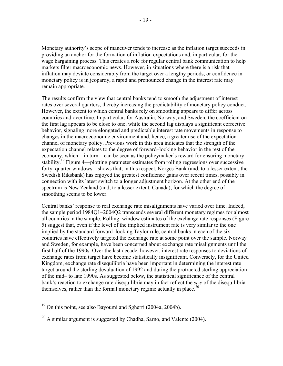Monetary authority's scope of maneuver tends to increase as the inflation target succeeds in providing an anchor for the formation of inflation expectations and, in particular, for the wage bargaining process. This creates a role for regular central bank communication to help markets filter macroeconomic news. However, in situations where there is a risk that inflation may deviate considerably from the target over a lengthy periods, or confidence in monetary policy is in jeopardy, a rapid and pronounced change in the interest rate may remain appropriate.

The results confirm the view that central banks tend to smooth the adjustment of interest rates over several quarters, thereby increasing the predictability of monetary policy conduct. However, the extent to which central banks rely on smoothing appears to differ across countries and over time. In particular, for Australia, Norway, and Sweden, the coefficient on the first lag appears to be close to one, while the second lag displays a significant corrective behavior, signaling more elongated and predictable interest rate movements in response to changes in the macroeconomic environment and, hence, a greater use of the expectation channel of monetary policy. Previous work in this area indicates that the strength of the expectation channel relates to the degree of forward–looking behavior in the rest of the economy, which—in turn—can be seen as the policymaker's reward for ensuring monetary stability.<sup>19</sup> Figure 4—plotting parameter estimates from rolling regressions over successive forty–quarter windows—shows that, in this respect, Norges Bank (and, to a lesser extent, the Swedish Riksbank) has enjoyed the greatest confidence gains over recent times, possibly in connection with its latest switch to a longer adjustment horizon. At the other end of the spectrum is New Zealand (and, to a lesser extent, Canada), for which the degree of smoothing seems to be lower.

Central banks' response to real exchange rate misalignments have varied over time. Indeed, the sample period 1984Q1–2004Q2 transcends several different monetary regimes for almost all countries in the sample. Rolling–window estimates of the exchange rate responses (Figure 5) suggest that, even if the level of the implied instrument rate is very similar to the one implied by the standard forward–looking Taylor rule, central banks in each of the six countries have effectively targeted the exchange rate at some point over the sample. Norway and Sweden, for example, have been concerned about exchange rate misalignments until the first half of the 1990s. Over the last decade, however, interest rate responses to deviations of exchange rates from target have become statistically insignificant. Conversely, for the United Kingdom, exchange rate disequilibria have been important in determining the interest rate target around the sterling devaluation of 1992 and during the protracted sterling appreciation of the mid– to late 1990s. As suggested below, the statistical significance of the central bank's reaction to exchange rate disequilibria may in fact reflect the *size* of the disequilibria themselves, rather than the formal monetary regime actually in place.<sup>20</sup>

 $\overline{a}$  $19$  On this point, see also Bayoumi and Sgherri (2004a, 2004b).

 $20$  A similar argument is suggested by Chadha, Sarno, and Valente (2004).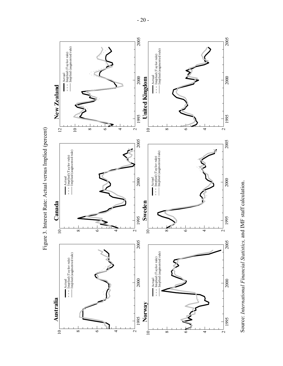

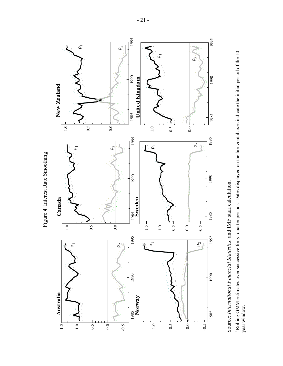

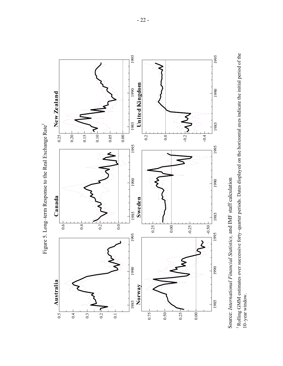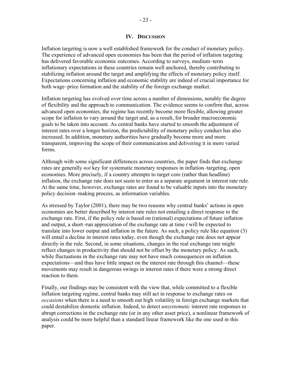### **IV. DISCUSSION**

Inflation targeting is now a well established framework for the conduct of monetary policy. The experience of advanced open economies has been that the period of inflation targeting has delivered favorable economic outcomes. According to surveys, medium–term inflationary expectations in these countries remain well anchored, thereby contributing to stabilizing inflation around the target and amplifying the effects of monetary policy itself. Expectations concerning inflation and economic stability are indeed of crucial importance for both wage–price formation and the stability of the foreign exchange market.

Inflation targeting has evolved over time across a number of dimensions, notably the degree of flexibility and the approach to communication. The evidence seems to confirm that, across advanced open economies, the regime has recently become more flexible, allowing greater scope for inflation to vary around the target and, as a result, for broader macroeconomic goals to be taken into account. As central banks have started to smooth the adjustment of interest rates over a longer horizon, the predictability of monetary policy conduct has also increased. In addition, monetary authorities have gradually become more and more transparent, improving the scope of their communication and delivering it in more varied forms.

Although with some significant differences across countries, the paper finds that exchange rates are generally *not* key for systematic monetary responses in inflation–targeting, open economies. More precisely, if a country attempts to target core (rather than headline) inflation, the exchange rate does not seem to enter as a separate argument in interest rate rule. At the same time, however, exchange rates are found to be valuable inputs into the monetary policy decision–making process, as information variables.

As stressed by Taylor (2001), there may be two reasons why central banks' actions in open economies are better described by interest rate rules not entailing a direct response to the exchange rate. First, if the policy rule is based on (rational) expectations of future inflation and output, a short–run appreciation of the exchange rate at time *t* will be expected to translate into lower output and inflation in the future. As such, a policy rule like equation (3) will entail a decline in interest rates today, even though the exchange rate does not appear directly in the rule. Second, in some situations, changes in the real exchange rate might reflect changes in productivity that should not be offset by the monetary policy. As such, while fluctuations in the exchange rate may not have much consequences on inflation expectations—and thus have little impact on the interest rate through this channel—these movements may result in dangerous swings in interest rates if there were a strong direct reaction to them.

Finally, our findings may be consistent with the view that, while committed to a flexible inflation targeting regime, central banks may still act in response to exchange rates *on occasions* when there is a need to smooth out high volatility in foreign exchange markets that could destabilize domestic inflation. Indeed, to detect *unsystematic* interest rate responses to abrupt corrections in the exchange rate (or in any other asset price), a nonlinear framework of analysis could be more helpful than a standard linear framework like the one used in this paper.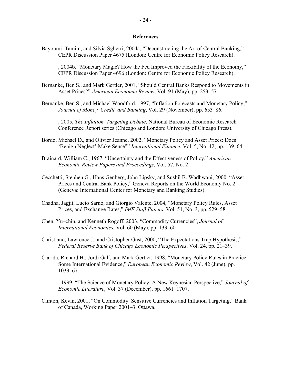### **References**

Bayoumi, Tamim, and Silvia Sgherri, 2004a, "Deconstructing the Art of Central Banking," CEPR Discussion Paper 4675 (London: Centre for Economic Policy Research).

———, 2004b, "Monetary Magic? How the Fed Improved the Flexibility of the Economy," CEPR Discussion Paper 4696 (London: Centre for Economic Policy Research).

- Bernanke, Ben S., and Mark Gertler, 2001, "Should Central Banks Respond to Movements in Asset Prices?" *American Economic Review*, Vol. 91 (May), pp. 253–57.
- Bernanke, Ben S., and Michael Woodford, 1997, "Inflation Forecasts and Monetary Policy," *Journal of Money, Credit, and Banking*, Vol. 29 (November), pp. 653–86.
- ———, 2005, *The Inflation–Targeting Debate*, National Bureau of Economic Research Conference Report series (Chicago and London: University of Chicago Press).
- Bordo, Michael D., and Olivier Jeanne, 2002, "Monetary Policy and Asset Prices: Does 'Benign Neglect' Make Sense?" *International Finance*, Vol. 5, No. 12, pp. 139–64.
- Brainard, William C., 1967, "Uncertainty and the Effectiveness of Policy," *American Economic Review Papers and Proceedings*, Vol. 57, No. 2.
- Cecchetti, Stephen G., Hans Genberg, John Lipsky, and Sushil B. Wadhwani, 2000, "Asset Prices and Central Bank Policy," Geneva Reports on the World Economy No. 2 (Geneva: International Center for Monetary and Banking Studies).
- Chadha, Jagjit, Lucio Sarno, and Giorgio Valente, 2004, "Monetary Policy Rules, Asset Prices, and Exchange Rates," *IMF Staff Papers*, Vol. 51, No. 3, pp. 529–58.
- Chen, Yu–chin, and Kenneth Rogoff, 2003, "Commodity Currencies", *Journal of International Economics*, Vol. 60 (May), pp. 133–60.
- Christiano, Lawrence J., and Cristopher Gust, 2000, "The Expectations Trap Hypothesis," *Federal Reserve Bank of Chicago Economic Perspectives*, Vol. 24, pp. 21–39.
- Clarida, Richard H., Jordi Galí, and Mark Gertler, 1998, "Monetary Policy Rules in Practice: Some International Evidence," *European Economic Review*, Vol. 42 (June), pp. 1033–67.

———, 1999, "The Science of Monetary Policy: A New Keynesian Perspective," *Journal of Economic Literature*, Vol. 37 (December), pp. 1661–1707.

Clinton, Kevin, 2001, "On Commodity–Sensitive Currencies and Inflation Targeting," Bank of Canada, Working Paper 2001–3, Ottawa.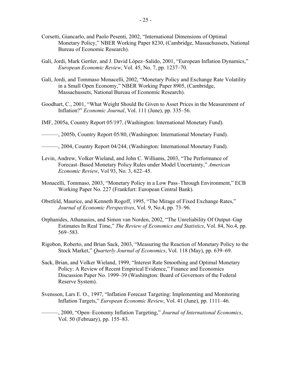- Corsetti, Giancarlo, and Paolo Pesenti, 2002, "International Dimensions of Optimal Monetary Policy," NBER Working Paper 8230, (Cambridge, Massachussets, National Bureau of Economic Research).
- Galí, Jordi, Mark Gertler, and J. David López–Salido, 2001, "European Inflation Dynamics," *European Economic Review*, Vol. 45, No. 7, pp. 1237–70.
- Galí, Jordi, and Tommaso Monacelli, 2002, "Monetary Policy and Exchange Rate Volatility in a Small Open Economy," NBER Working Paper 8905, (Cambridge, Massachussets, National Bureau of Economic Research).
- Goodhart, C., 2001, "What Weight Should Be Given to Asset Prices in the Measurement of Inflation?" *Economic Journal*, Vol. 111 (June), pp. 335–56.
- IMF, 2005a, Country Report 05/197, (Washington: International Monetary Fund).
- ———, 2005b, Country Report 05/80, (Washington: International Monetary Fund).
- ———, 2004, Country Report 04/244, (Washington: International Monetary Fund).
- Levin, Andrew, Volker Wieland, and John C. Williams, 2003, "The Performance of Forecast–Based Monetary Policy Rules under Model Uncertainty," *American Economic Review*, Vol 93, No. 3, 622–45.
- Monacelli, Tommaso, 2003, "Monetary Policy in a Low Pass–Through Environment," ECB Working Paper No. 227 (Frankfurt: European Central Bank).
- Obstfeld, Maurice, and Kenneth Rogoff, 1995, "The Mirage of Fixed Exchange Rates," *Journal of Economic Perspectives*, Vol. 9, No.4, pp. 73–96.
- Orphanides, Athanasios, and Simon van Norden, 2002, "The Unreliability Of Output–Gap Estimates In Real Time," *The Review of Economics and Statistics*, Vol. 84, No.4, pp. 569–583.
- Rigobon, Roberto, and Brian Sack, 2003, "Measuring the Reaction of Monetary Policy to the Stock Market," *Quarterly Journal of Economics*, Vol. 118 (May), pp. 639–69.
- Sack, Brian, and Volker Wieland, 1999, "Interest Rate Smoothing and Optimal Monetary Policy: A Review of Recent Empirical Evidence," Finance and Economics Discussion Paper No. 1999–39 (Washington: Board of Governors of the Federal Reserve System).
- Svensson, Lars E. O., 1997, "Inflation Forecast Targeting: Implementing and Monitoring Inflation Targets," *European Economic Review*, Vol. 41 (June), pp. 1111–46.
- ———, 2000, "Open–Economy Inflation Targeting," *Journal of International Economics*, Vol. 50 (February), pp. 155–83.